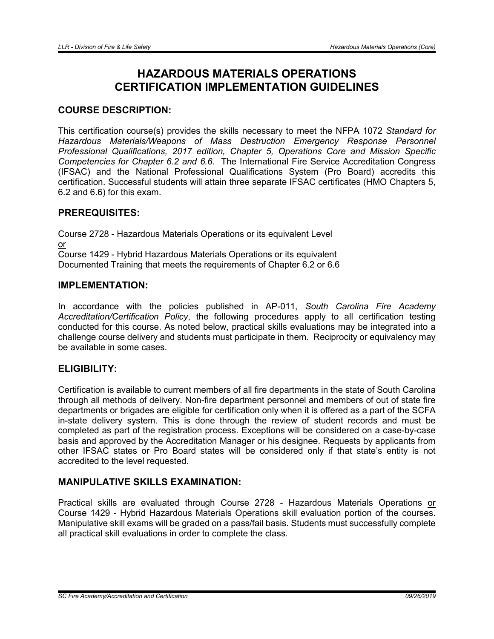# HAZARDOUS MATERIALS OPERATIONS CERTIFICATION IMPLEMENTATION GUIDELINES

# COURSE DESCRIPTION:

This certification course(s) provides the skills necessary to meet the NFPA 1072 *Standard for Hazardous Materials/Weapons of Mass Destruction Emergency Response Personnel Professional Qualifications, 2017 edition, Chapter 5, Operations Core and Mission Specific Competencies for Chapter 6.2 and 6.6.* The International Fire Service Accreditation Congress (IFSAC) and the National Professional Qualifications System (Pro Board) accredits this certification. Successful students will attain three separate IFSAC certificates (HMO Chapters 5, 6.2 and 6.6) for this exam.

## PREREQUISITES:

Course 2728 - Hazardous Materials Operations or its equivalent Level or Course 1429 - Hybrid Hazardous Materials Operations or its equivalent Documented Training that meets the requirements of Chapter 6.2 or 6.6

## IMPLEMENTATION:

In accordance with the policies published in AP-011, *South Carolina Fire Academy Accreditation/Certification Policy*, the following procedures apply to all certification testing conducted for this course. As noted below, practical skills evaluations may be integrated into a challenge course delivery and students must participate in them. Reciprocity or equivalency may be available in some cases.

## ELIGIBILITY:

Certification is available to current members of all fire departments in the state of South Carolina through all methods of delivery. Non-fire department personnel and members of out of state fire departments or brigades are eligible for certification only when it is offered as a part of the SCFA in-state delivery system. This is done through the review of student records and must be completed as part of the registration process. Exceptions will be considered on a case-by-case basis and approved by the Accreditation Manager or his designee. Requests by applicants from other IFSAC states or Pro Board states will be considered only if that state's entity is not accredited to the level requested.

## MANIPULATIVE SKILLS EXAMINATION:

Practical skills are evaluated through Course 2728 - Hazardous Materials Operations or Course 1429 - Hybrid Hazardous Materials Operations skill evaluation portion of the courses. Manipulative skill exams will be graded on a pass/fail basis. Students must successfully complete all practical skill evaluations in order to complete the class.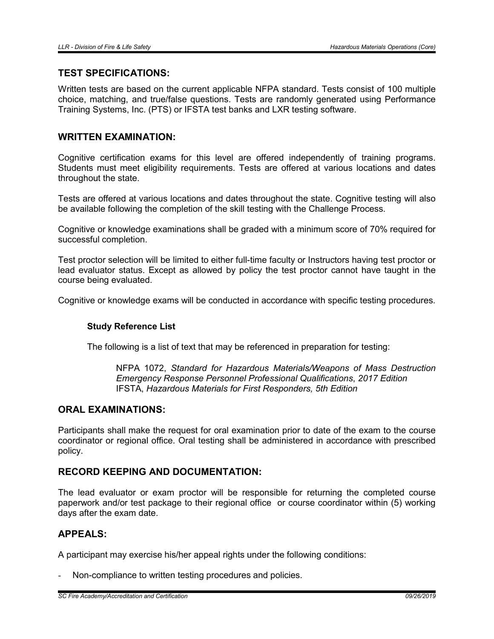#### TEST SPECIFICATIONS:

Written tests are based on the current applicable NFPA standard. Tests consist of 100 multiple choice, matching, and true/false questions. Tests are randomly generated using Performance Training Systems, Inc. (PTS) or IFSTA test banks and LXR testing software.

#### WRITTEN EXAMINATION:

Cognitive certification exams for this level are offered independently of training programs. Students must meet eligibility requirements. Tests are offered at various locations and dates throughout the state.

Tests are offered at various locations and dates throughout the state. Cognitive testing will also be available following the completion of the skill testing with the Challenge Process.

Cognitive or knowledge examinations shall be graded with a minimum score of 70% required for successful completion.

Test proctor selection will be limited to either full-time faculty or Instructors having test proctor or lead evaluator status. Except as allowed by policy the test proctor cannot have taught in the course being evaluated.

Cognitive or knowledge exams will be conducted in accordance with specific testing procedures.

#### Study Reference List

The following is a list of text that may be referenced in preparation for testing:

NFPA 1072, *Standard for Hazardous Materials/Weapons of Mass Destruction Emergency Response Personnel Professional Qualifications*, *2017 Edition* IFSTA, *Hazardous Materials for First Responders, 5th Edition*

#### ORAL EXAMINATIONS:

Participants shall make the request for oral examination prior to date of the exam to the course coordinator or regional office. Oral testing shall be administered in accordance with prescribed policy.

## RECORD KEEPING AND DOCUMENTATION:

The lead evaluator or exam proctor will be responsible for returning the completed course paperwork and/or test package to their regional office or course coordinator within (5) working days after the exam date.

## APPEALS:

A participant may exercise his/her appeal rights under the following conditions:

Non-compliance to written testing procedures and policies.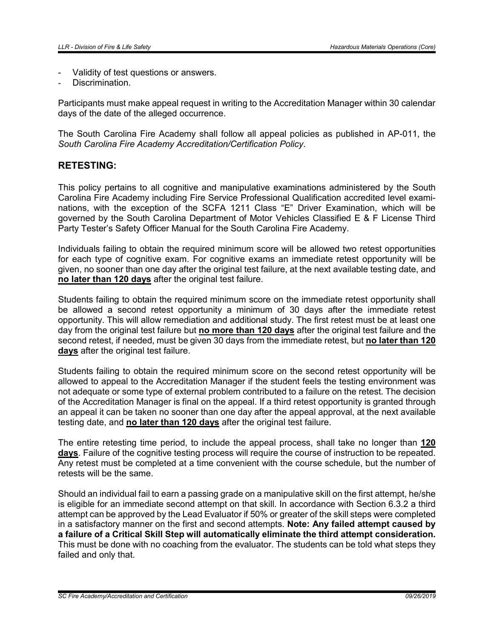- Validity of test questions or answers.
- Discrimination.

Participants must make appeal request in writing to the Accreditation Manager within 30 calendar days of the date of the alleged occurrence.

The South Carolina Fire Academy shall follow all appeal policies as published in AP-011, the *South Carolina Fire Academy Accreditation/Certification Policy*.

# RETESTING:

This policy pertains to all cognitive and manipulative examinations administered by the South Carolina Fire Academy including Fire Service Professional Qualification accredited level examinations, with the exception of the SCFA 1211 Class "E" Driver Examination, which will be governed by the South Carolina Department of Motor Vehicles Classified E & F License Third Party Tester's Safety Officer Manual for the South Carolina Fire Academy.

Individuals failing to obtain the required minimum score will be allowed two retest opportunities for each type of cognitive exam. For cognitive exams an immediate retest opportunity will be given, no sooner than one day after the original test failure, at the next available testing date, and no later than 120 days after the original test failure.

Students failing to obtain the required minimum score on the immediate retest opportunity shall be allowed a second retest opportunity a minimum of 30 days after the immediate retest opportunity. This will allow remediation and additional study. The first retest must be at least one day from the original test failure but no more than 120 days after the original test failure and the second retest, if needed, must be given 30 days from the immediate retest, but no later than 120 days after the original test failure.

Students failing to obtain the required minimum score on the second retest opportunity will be allowed to appeal to the Accreditation Manager if the student feels the testing environment was not adequate or some type of external problem contributed to a failure on the retest. The decision of the Accreditation Manager is final on the appeal. If a third retest opportunity is granted through an appeal it can be taken no sooner than one day after the appeal approval, at the next available testing date, and no later than 120 days after the original test failure.

The entire retesting time period, to include the appeal process, shall take no longer than 120 days. Failure of the cognitive testing process will require the course of instruction to be repeated. Any retest must be completed at a time convenient with the course schedule, but the number of retests will be the same.

Should an individual fail to earn a passing grade on a manipulative skill on the first attempt, he/she is eligible for an immediate second attempt on that skill. In accordance with Section 6.3.2 a third attempt can be approved by the Lead Evaluator if 50% or greater of the skill steps were completed in a satisfactory manner on the first and second attempts. Note: Any failed attempt caused by a failure of a Critical Skill Step will automatically eliminate the third attempt consideration. This must be done with no coaching from the evaluator. The students can be told what steps they failed and only that.